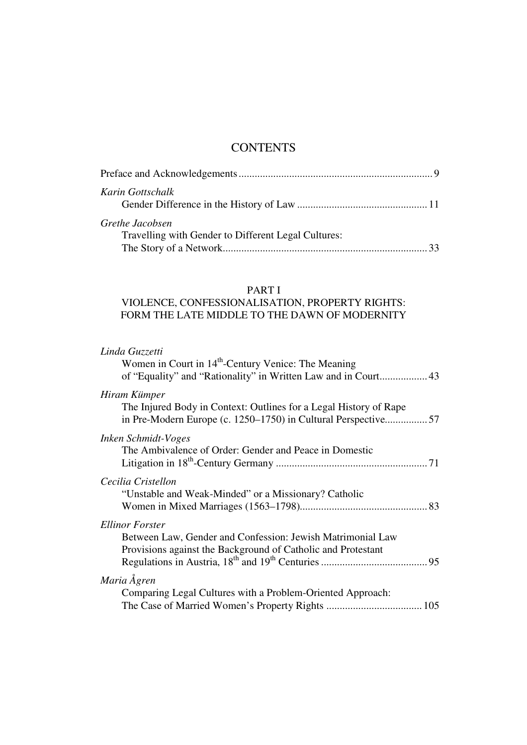# **CONTENTS**

| Karin Gottschalk                                    |  |
|-----------------------------------------------------|--|
|                                                     |  |
| Grethe Jacobsen                                     |  |
| Travelling with Gender to Different Legal Cultures: |  |
|                                                     |  |

### PART I

## VIOLENCE, CONFESSIONALISATION, PROPERTY RIGHTS: FORM THE LATE MIDDLE TO THE DAWN OF MODERNITY

| in Pre-Modern Europe (c. 1250–1750) in Cultural Perspective57 |
|---------------------------------------------------------------|
|                                                               |
|                                                               |
|                                                               |
|                                                               |
|                                                               |
|                                                               |
|                                                               |
|                                                               |
|                                                               |
|                                                               |
|                                                               |
|                                                               |
|                                                               |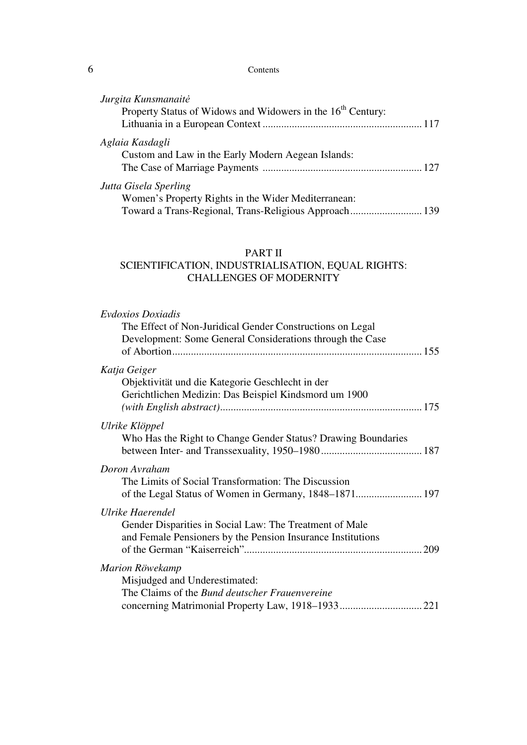#### 6 Contents

| Jurgita Kunsmanaitė                                                     |  |
|-------------------------------------------------------------------------|--|
| Property Status of Widows and Widowers in the 16 <sup>th</sup> Century: |  |
|                                                                         |  |
| Aglaia Kasdagli                                                         |  |
| Custom and Law in the Early Modern Aegean Islands:                      |  |
|                                                                         |  |
| Jutta Gisela Sperling                                                   |  |
| Women's Property Rights in the Wider Mediterranean:                     |  |
| Toward a Trans-Regional, Trans-Religious Approach 139                   |  |

## PART II

## SCIENTIFICATION, INDUSTRIALISATION, EQUAL RIGHTS: CHALLENGES OF MODERNITY

| <b>Evdoxios Doxiadis</b><br>The Effect of Non-Juridical Gender Constructions on Legal<br>Development: Some General Considerations through the Case |  |
|----------------------------------------------------------------------------------------------------------------------------------------------------|--|
| Katja Geiger<br>Objektivität und die Kategorie Geschlecht in der<br>Gerichtlichen Medizin: Das Beispiel Kindsmord um 1900                          |  |
| Ulrike Klöppel<br>Who Has the Right to Change Gender Status? Drawing Boundaries                                                                    |  |
| Doron Avraham<br>The Limits of Social Transformation: The Discussion                                                                               |  |
| Ulrike Haerendel<br>Gender Disparities in Social Law: The Treatment of Male<br>and Female Pensioners by the Pension Insurance Institutions         |  |
| Marion Röwekamp<br>Misjudged and Underestimated:<br>The Claims of the <i>Bund deutscher Frauenvereine</i>                                          |  |